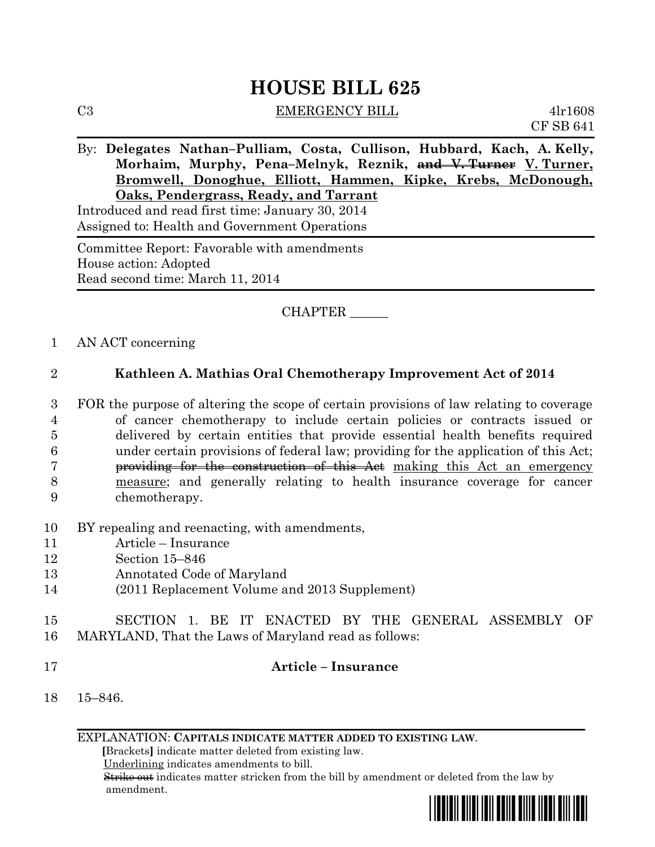# **HOUSE BILL 625**

C3 EMERGENCY BILL 4lr1608

CF SB 641

By: **Delegates Nathan–Pulliam, Costa, Cullison, Hubbard, Kach, A. Kelly, Morhaim, Murphy, Pena–Melnyk, Reznik, and V. Turner V. Turner, Bromwell, Donoghue, Elliott, Hammen, Kipke, Krebs, McDonough, Oaks, Pendergrass, Ready, and Tarrant**

Introduced and read first time: January 30, 2014 Assigned to: Health and Government Operations

Committee Report: Favorable with amendments House action: Adopted Read second time: March 11, 2014

CHAPTER \_\_\_\_\_\_

1 AN ACT concerning

#### 2 **Kathleen A. Mathias Oral Chemotherapy Improvement Act of 2014**

 FOR the purpose of altering the scope of certain provisions of law relating to coverage of cancer chemotherapy to include certain policies or contracts issued or delivered by certain entities that provide essential health benefits required under certain provisions of federal law; providing for the application of this Act; **providing for the construction of this Act** making this Act an emergency measure; and generally relating to health insurance coverage for cancer chemotherapy.

- 10 BY repealing and reenacting, with amendments,
- 11 Article Insurance
- 12 Section 15–846
- 13 Annotated Code of Maryland
- 14 (2011 Replacement Volume and 2013 Supplement)

### 15 SECTION 1. BE IT ENACTED BY THE GENERAL ASSEMBLY OF 16 MARYLAND, That the Laws of Maryland read as follows:

#### 17 **Article – Insurance**

18 15–846.

EXPLANATION: **CAPITALS INDICATE MATTER ADDED TO EXISTING LAW**.

 **[**Brackets**]** indicate matter deleted from existing law.

Underlining indicates amendments to bill.

 Strike out indicates matter stricken from the bill by amendment or deleted from the law by amendment.